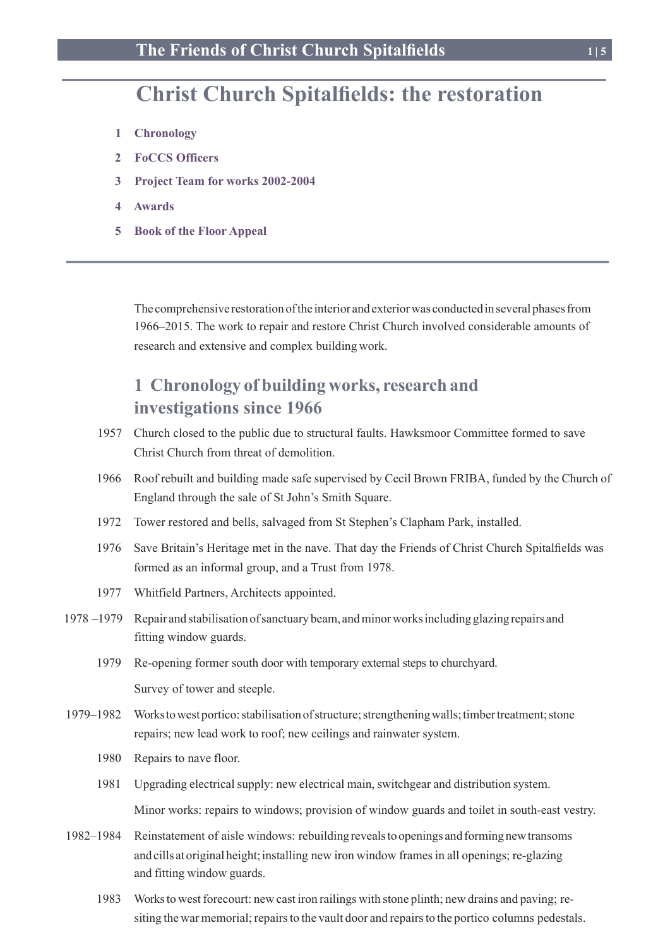# **Christ Church Spitalfields: the restoration**

- **1 Chronology**
- **2 FoCCS Officers**
- **3 Project Team for works 2002-2004**
- **4 Awards**
- **5 Book of the Floor Appeal**

The comprehensive restoration of the interior and exterior was conducted in several phases from 1966–2015. The work to repair and restore Christ Church involved considerable amounts of research and extensive and complex building work.

## **1 Chronology of building works, research and investigations since 1966**

- 1957 Church closed to the public due to structural faults. Hawksmoor Committee formed to save Christ Church from threat of demolition.
- 1966 Roof rebuilt and building made safe supervised by Cecil Brown FRIBA, funded by the Church of England through the sale of St John's Smith Square.
- 1972 Tower restored and bells, salvaged from St Stephen's Clapham Park, installed.
- 1976 Save Britain's Heritage met in the nave. That day the Friends of Christ Church Spitalfields was formed as an informal group, and a Trust from 1978.
- 1977 Whitfield Partners, Architects appointed.
- 1978 –1979 Repair and stabilisation ofsanctuary beam, andminorworksincluding glazing repairs and fitting window guards.
	- 1979 Re-opening former south door with temporary external steps to churchyard.

Survey of tower and steeple.

- 1979–1982 Workstowest portico:stabilisationofstructure;strengtheningwalls;timbertreatment;stone repairs; new lead work to roof; new ceilings and rainwater system.
	- 1980 Repairs to nave floor.
	- 1981 Upgrading electrical supply: new electrical main, switchgear and distribution system. Minor works: repairs to windows; provision of window guards and toilet in south-east vestry.
- 1982–1984 Reinstatement of aisle windows: rebuildingrevealstoopenings andformingnewtransoms and cills at original height; installing new iron window frames in all openings; re-glazing and fitting window guards.
	- 1983 Worksto westforecourt: new cast iron railings with stone plinth; new drains and paving; resiting the war memorial; repairs to the vault door and repairs to the portico columns pedestals.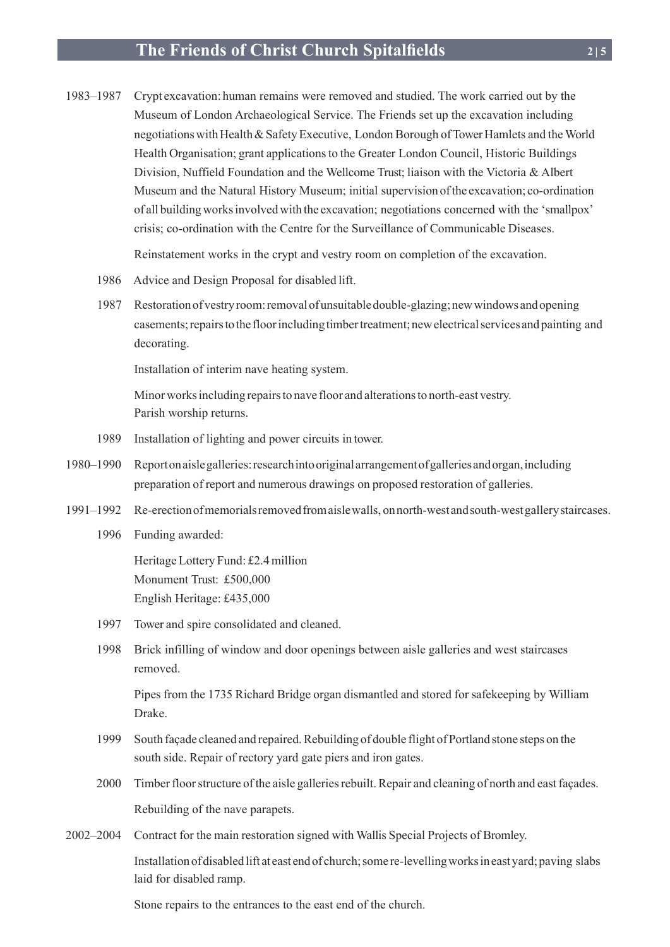### **The Friends of Christ Church Spitalfields 2 | 5**

1983–1987 Crypt excavation: human remains were removed and studied. The work carried out by the Museum of London Archaeological Service. The Friends set up the excavation including negotiations with Health & Safety Executive, London Borough of Tower Hamlets and the World Health Organisation; grant applications to the Greater London Council, Historic Buildings Division, Nuffield Foundation and the Wellcome Trust; liaison with the Victoria & Albert Museum and the Natural History Museum; initial supervision ofthe excavation; co-ordination of all buildingworksinvolvedwith the excavation; negotiations concerned with the 'smallpox' crisis; co-ordination with the Centre for the Surveillance of Communicable Diseases.

Reinstatement works in the crypt and vestry room on completion of the excavation.

- 1986 Advice and Design Proposal for disabled lift.
- 1987 Restorationofvestryroom:removalofunsuitabledouble-glazing;newwindows andopening casements;repairstothe floorincludingtimbertreatment;newelectricalservices andpainting and decorating.

Installation of interim nave heating system.

Minorworksincluding repairsto nave floor and alterationsto north-east vestry. Parish worship returns.

- 1989 Installation of lighting and power circuits in tower.
- 1980–1990 Reportonaislegalleries:researchintooriginalarrangementofgalleriesandorgan,including preparation of report and numerous drawings on proposed restoration of galleries.
- 1991–1992 Re-erectionofmemorialsremovedfromaislewalls, onnorth-westandsouth-westgallerystaircases.
	- 1996 Funding awarded:

Heritage Lottery Fund: £2.4 million Monument Trust: £500,000 English Heritage: £435,000

- 1997 Tower and spire consolidated and cleaned.
- 1998 Brick infilling of window and door openings between aisle galleries and west staircases removed.

 Pipes from the 1735 Richard Bridge organ dismantled and stored for safekeeping by William Drake.

- 1999 South façade cleaned and repaired.Rebuilding of double flight of Portland stone steps on the south side. Repair of rectory yard gate piers and iron gates.
- 2000 Timber floor structure of the aisle galleries rebuilt. Repair and cleaning of north and east facades. Rebuilding of the nave parapets.
- 2002–2004 Contract for the main restoration signed with Wallis Special Projects of Bromley.

Installation of disabled lift at east end of church; some re-levelling works in east yard; paving slabs laid for disabled ramp.

Stone repairs to the entrances to the east end of the church.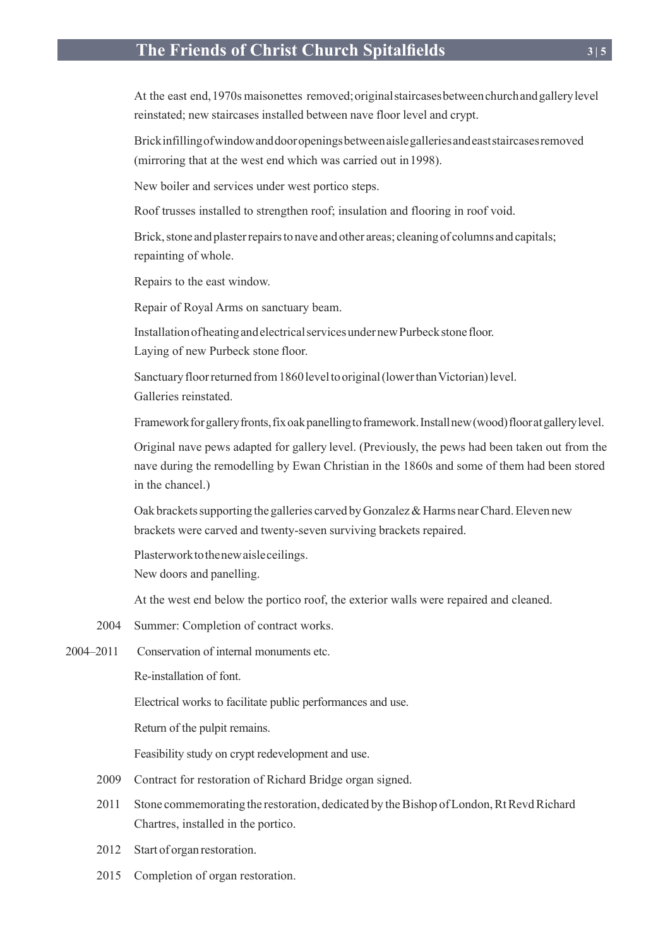### **The Friends of Christ Church Spitalfields 3 | 5**

At the east end,1970s maisonettes removed;originalstaircasesbetweenchurchandgallerylevel reinstated; new staircases installed between nave floor level and crypt.

Brickinfillingofwindowanddooropeningsbetweenaislegalleriesandeaststaircasesremoved (mirroring that at the west end which was carried out in1998).

New boiler and services under west portico steps.

Roof trusses installed to strengthen roof; insulation and flooring in roof void.

Brick, stone and plaster repairs to nave and other areas; cleaning of columns and capitals; repainting of whole.

Repairs to the east window.

Repair of Royal Arms on sanctuary beam.

InstallationofheatingandelectricalservicesundernewPurbeckstonefloor. Laying of new Purbeck stone floor.

Sanctuary floor returned from 1860 level to original (lower than Victorian) level. Galleries reinstated.

Framework for gallery fronts, fix oak panelling to framework. Install new (wood) floor at gallery level.

Original nave pews adapted for gallery level. (Previously, the pews had been taken out from the nave during the remodelling by Ewan Christian in the 1860s and some of them had been stored in the chancel.)

Oak brackets supporting the galleries carved by Gonzalez & Harms near Chard. Eleven new brackets were carved and twenty-seven surviving brackets repaired.

Plasterworktothenewaisleceilings.

New doors and panelling.

At the west end below the portico roof, the exterior walls were repaired and cleaned.

2004 Summer: Completion of contract works.

2004–2011 Conservation of internal monuments etc.

Re-installation of font.

Electrical works to facilitate public performances and use.

Return of the pulpit remains.

Feasibility study on crypt redevelopment and use.

- 2009 Contract for restoration of Richard Bridge organ signed.
- 2011 Stone commemorating the restoration, dedicated by the Bishop of London, Rt Revd Richard Chartres, installed in the portico.
- 2012 Start of organ restoration.
- 2015 Completion of organ restoration.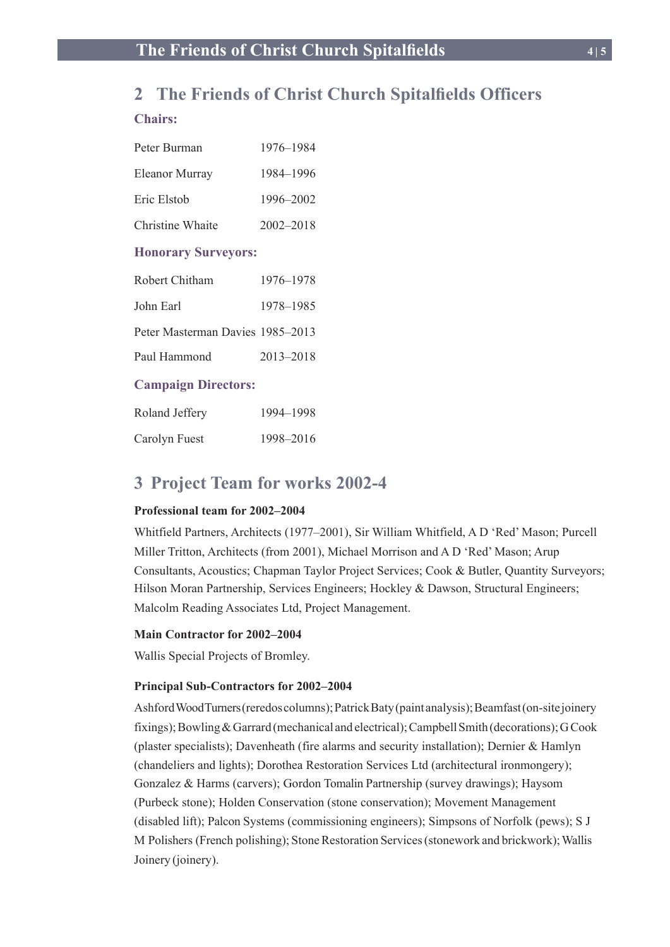### **2 The Friends of Christ Church Spitalfields Officers**

#### **Chairs:**

| Peter Burman               | 1976–1984     |  |
|----------------------------|---------------|--|
| <b>Eleanor Murray</b>      | 1984-1996     |  |
| Eric Elstob                | 1996-2002     |  |
| Christine Whaite           | $2002 - 2018$ |  |
| <b>Honorary Surveyors:</b> |               |  |
| Robert Chitham             | 1976–1978     |  |

| John Earl                        | 1978–1985 |
|----------------------------------|-----------|
| Peter Masterman Davies 1985-2013 |           |

Paul Hammond 2013–2018

#### **Campaign Directors:**

| Roland Jeffery | 1994–1998 |
|----------------|-----------|
| Carolyn Fuest  | 1998-2016 |

### **3 Project Team for works 2002-4**

#### **Professional team for 2002–2004**

Whitfield Partners, Architects (1977–2001), Sir William Whitfield, A D 'Red' Mason; Purcell Miller Tritton, Architects (from 2001), Michael Morrison and A D 'Red' Mason; Arup Consultants, Acoustics; Chapman Taylor Project Services; Cook & Butler, Quantity Surveyors; Hilson Moran Partnership, Services Engineers; Hockley & Dawson, Structural Engineers; Malcolm Reading Associates Ltd, Project Management.

#### **Main Contractor for 2002–2004**

Wallis Special Projects of Bromley.

#### **Principal Sub-Contractors for 2002–2004**

Ashford Wood Turners (reredos columns); Patrick Baty (paint analysis); Beamfast (on-site joinery fixings); Bowling  $&$  Garrard (mechanical and electrical); Campbell Smith (decorations); G Cook (plaster specialists); Davenheath (fire alarms and security installation); Dernier & Hamlyn (chandeliers and lights); Dorothea Restoration Services Ltd (architectural ironmongery); Gonzalez & Harms (carvers); Gordon Tomalin Partnership (survey drawings); Haysom (Purbeck stone); Holden Conservation (stone conservation); Movement Management (disabled lift); Palcon Systems (commissioning engineers); Simpsons of Norfolk (pews); S J M Polishers (French polishing); Stone Restoration Services (stonework and brickwork); Wallis Joinery (joinery).